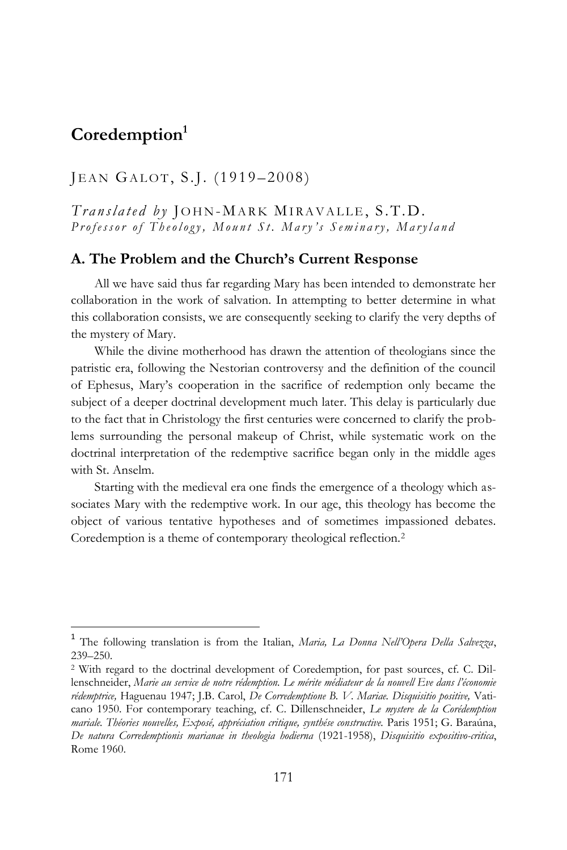# **Coredemption<sup>1</sup>**

 $\overline{a}$ 

# JEAN GALOT, S.J. (1919–2008)

*Translated by* JOHN-MARK MIRAVALLE, S.T.D. *Professor of Theology, Mount St. Mary's Seminary, Maryland* 

# **A. The Problem and the Church's Current Response**

All we have said thus far regarding Mary has been intended to demonstrate her collaboration in the work of salvation. In attempting to better determine in what this collaboration consists, we are consequently seeking to clarify the very depths of the mystery of Mary.

While the divine motherhood has drawn the attention of theologians since the patristic era, following the Nestorian controversy and the definition of the council of Ephesus, Mary's cooperation in the sacrifice of redemption only became the subject of a deeper doctrinal development much later. This delay is particularly due to the fact that in Christology the first centuries were concerned to clarify the problems surrounding the personal makeup of Christ, while systematic work on the doctrinal interpretation of the redemptive sacrifice began only in the middle ages with St. Anselm.

Starting with the medieval era one finds the emergence of a theology which associates Mary with the redemptive work. In our age, this theology has become the object of various tentative hypotheses and of sometimes impassioned debates. Coredemption is a theme of contemporary theological reflection.<sup>2</sup>

<sup>1</sup> The following translation is from the Italian, *Maria, La Donna Nell'Opera Della Salvezza*, 239–250.

<sup>2</sup> With regard to the doctrinal development of Coredemption, for past sources, cf. C. Dillenschneider, *Marie au service de notre rédemption. Le mérite médiateur de la nouvell Eve dans l'économie rédemptrice,* Haguenau 1947; J.B. Carol, *De Corredemptione B. V. Mariae. Disquisitio positive,* Vaticano 1950. For contemporary teaching, cf. C. Dillenschneider, *Le mystere de la Corédemption mariale. Théories nouvelles, Exposé, appréciation critique, synthése constructive.* Paris 1951; G. Baraúna, *De natura Corredemptionis marianae in theologia hodierna* (1921-1958), *Disquisitio expositivo-critica*, Rome 1960.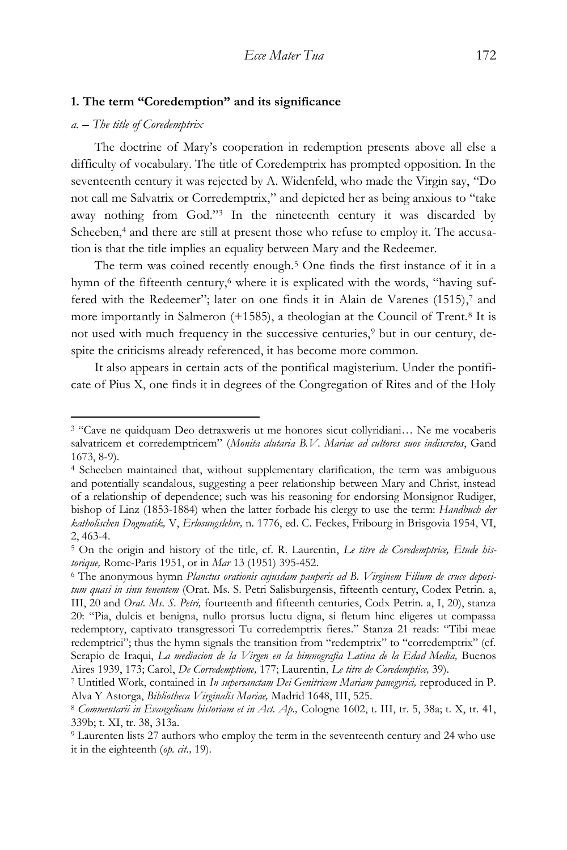#### **1. The term "Coredemption" and its significance**

## *a. – The title of Coredemptrix*

 $\overline{a}$ 

The doctrine of Mary's cooperation in redemption presents above all else a difficulty of vocabulary. The title of Coredemptrix has prompted opposition. In the seventeenth century it was rejected by A. Widenfeld, who made the Virgin say, "Do not call me Salvatrix or Corredemptrix," and depicted her as being anxious to "take away nothing from God." <sup>3</sup> In the nineteenth century it was discarded by Scheeben,<sup>4</sup> and there are still at present those who refuse to employ it. The accusation is that the title implies an equality between Mary and the Redeemer.

The term was coined recently enough.<sup>5</sup> One finds the first instance of it in a hymn of the fifteenth century,<sup>6</sup> where it is explicated with the words, "having suffered with the Redeemer"; later on one finds it in Alain de Varenes (1515), <sup>7</sup> and more importantly in Salmeron (+1585), a theologian at the Council of Trent.<sup>8</sup> It is not used with much frequency in the successive centuries,<sup>9</sup> but in our century, despite the criticisms already referenced, it has become more common.

It also appears in certain acts of the pontifical magisterium. Under the pontificate of Pius X, one finds it in degrees of the Congregation of Rites and of the Holy

<sup>3</sup> "Cave ne quidquam Deo detraxweris ut me honores sicut collyridiani… Ne me vocaberis salvatricem et corredemptricem" (*Monita alutaria B.V. Mariae ad cultores suos indiscretos*, Gand 1673, 8-9).

<sup>4</sup> Scheeben maintained that, without supplementary clarification, the term was ambiguous and potentially scandalous, suggesting a peer relationship between Mary and Christ, instead of a relationship of dependence; such was his reasoning for endorsing Monsignor Rudiger, bishop of Linz (1853-1884) when the latter forbade his clergy to use the term: *Handbuch der katholischen Dogmatik,* V, *Erlosungslehre,* n. 1776, ed. C. Feckes, Fribourg in Brisgovia 1954, VI, 2, 463-4.

<sup>5</sup> On the origin and history of the title, cf. R. Laurentin, *Le titre de Coredemptrice, Etude historique,* Rome-Paris 1951, or in *Mar* 13 (1951) 395-452.

<sup>6</sup> The anonymous hymn *Planctus orationis cujusdam pauperis ad B. Virginem Filium de cruce depositum quasi in sinu tenentem* (Orat. Ms. S. Petri Salisburgensis, fifteenth century, Codex Petrin. a, III, 20 and *Orat. Ms. S. Petri,* fourteenth and fifteenth centuries, Codx Petrin. a, I, 20), stanza 20: "Pia, dulcis et benigna, nullo prorsus luctu digna, si fletum hinc eligeres ut compassa redemptory, captivato transgressori Tu corredemptrix fieres." Stanza 21 reads: "Tibi meae redemptrici"; thus the hymn signals the transition from "redemptrix" to "corredemptrix" (cf. Serapio de Iraqui, *La mediacion de la Virgen en la himnografia Latina de la Edad Media*, Buenos Aires 1939, 173; Carol, *De Corredemptione,* 177; Laurentin, *Le titre de Coredemptice,* 39).

<sup>7</sup> Untitled Work, contained in *In supersanctam Dei Genitricem Mariam panegyrici,* reproduced in P. Alva Y Astorga, *Bibliotheca Virginalis Mariae,* Madrid 1648, III, 525.

<sup>8</sup> *Commentarii in Evangelicam historiam et in Act. Ap.,* Cologne 1602, t. III, tr. 5, 38a; t. X, tr. 41, 339b; t. XI, tr. 38, 313a.

<sup>9</sup> Laurenten lists 27 authors who employ the term in the seventeenth century and 24 who use it in the eighteenth (*op. cit.,* 19).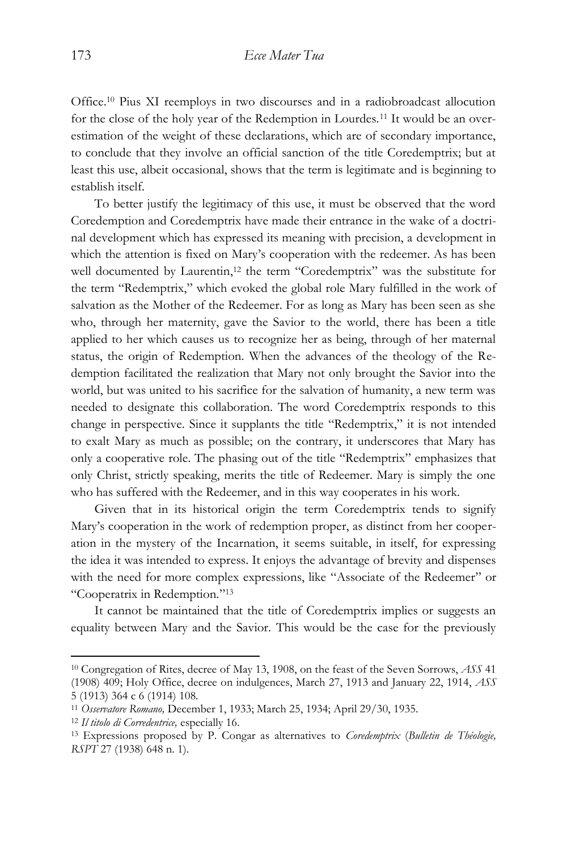Office.<sup>10</sup> Pius XI reemploys in two discourses and in a radiobroadcast allocution for the close of the holy year of the Redemption in Lourdes.<sup>11</sup> It would be an overestimation of the weight of these declarations, which are of secondary importance, to conclude that they involve an official sanction of the title Coredemptrix; but at least this use, albeit occasional, shows that the term is legitimate and is beginning to establish itself.

To better justify the legitimacy of this use, it must be observed that the word Coredemption and Coredemptrix have made their entrance in the wake of a doctrinal development which has expressed its meaning with precision, a development in which the attention is fixed on Mary's cooperation with the redeemer. As has been well documented by Laurentin,<sup>12</sup> the term "Coredemptrix" was the substitute for the term "Redemptrix," which evoked the global role Mary fulfilled in the work of salvation as the Mother of the Redeemer. For as long as Mary has been seen as she who, through her maternity, gave the Savior to the world, there has been a title applied to her which causes us to recognize her as being, through of her maternal status, the origin of Redemption. When the advances of the theology of the Redemption facilitated the realization that Mary not only brought the Savior into the world, but was united to his sacrifice for the salvation of humanity, a new term was needed to designate this collaboration. The word Coredemptrix responds to this change in perspective. Since it supplants the title "Redemptrix," it is not intended to exalt Mary as much as possible; on the contrary, it underscores that Mary has only a cooperative role. The phasing out of the title "Redemptrix" emphasizes that only Christ, strictly speaking, merits the title of Redeemer. Mary is simply the one who has suffered with the Redeemer, and in this way cooperates in his work.

Given that in its historical origin the term Coredemptrix tends to signify Mary's cooperation in the work of redemption proper, as distinct from her cooperation in the mystery of the Incarnation, it seems suitable, in itself, for expressing the idea it was intended to express. It enjoys the advantage of brevity and dispenses with the need for more complex expressions, like "Associate of the Redeemer" or "Cooperatrix in Redemption." 13

It cannot be maintained that the title of Coredemptrix implies or suggests an equality between Mary and the Savior. This would be the case for the previously

<sup>10</sup> Congregation of Rites, decree of May 13, 1908, on the feast of the Seven Sorrows, *ASS* 41 (1908) 409; Holy Office, decree on indulgences, March 27, 1913 and January 22, 1914, *ASS*  5 (1913) 364 c 6 (1914) 108.

<sup>11</sup> *Osservatore Romano,* December 1, 1933; March 25, 1934; April 29/30, 1935.

<sup>12</sup> *Il titolo di Corredentrice,* especially 16.

<sup>13</sup> Expressions proposed by P. Congar as alternatives to *Coredemptrix* (*Bulletin de Théologie, RSPT* 27 (1938) 648 n. 1).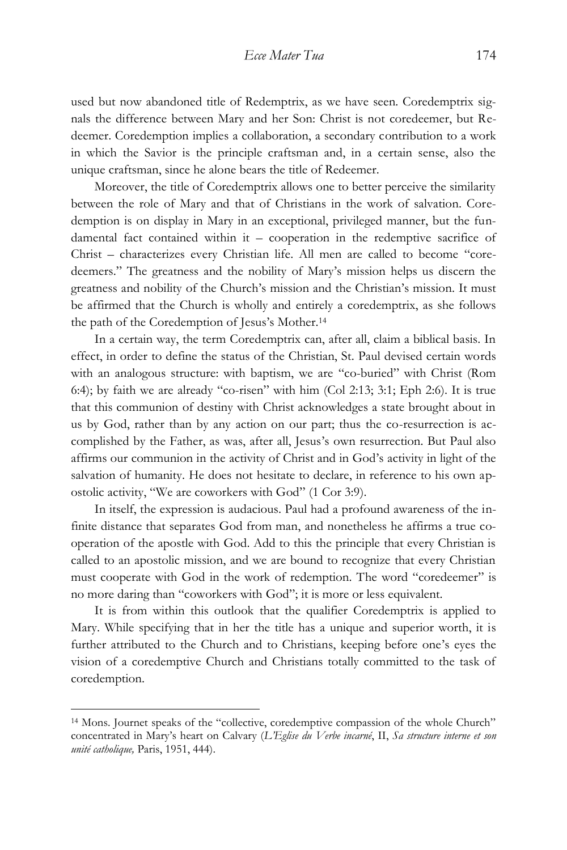used but now abandoned title of Redemptrix, as we have seen. Coredemptrix signals the difference between Mary and her Son: Christ is not coredeemer, but Redeemer. Coredemption implies a collaboration, a secondary contribution to a work in which the Savior is the principle craftsman and, in a certain sense, also the unique craftsman, since he alone bears the title of Redeemer.

Moreover, the title of Coredemptrix allows one to better perceive the similarity between the role of Mary and that of Christians in the work of salvation. Coredemption is on display in Mary in an exceptional, privileged manner, but the fundamental fact contained within it – cooperation in the redemptive sacrifice of Christ – characterizes every Christian life. All men are called to become "coredeemers." The greatness and the nobility of Mary's mission helps us discern the greatness and nobility of the Church's mission and the Christian's mission. It must be affirmed that the Church is wholly and entirely a coredemptrix, as she follows the path of the Coredemption of Jesus's Mother.<sup>14</sup>

In a certain way, the term Coredemptrix can, after all, claim a biblical basis. In effect, in order to define the status of the Christian, St. Paul devised certain words with an analogous structure: with baptism, we are "co-buried" with Christ (Rom 6:4); by faith we are already "co-risen" with him (Col 2:13; 3:1; Eph 2:6). It is true that this communion of destiny with Christ acknowledges a state brought about in us by God, rather than by any action on our part; thus the co-resurrection is accomplished by the Father, as was, after all, Jesus's own resurrection. But Paul also affirms our communion in the activity of Christ and in God's activity in light of the salvation of humanity. He does not hesitate to declare, in reference to his own apostolic activity, "We are coworkers with God" (1 Cor 3:9).

In itself, the expression is audacious. Paul had a profound awareness of the infinite distance that separates God from man, and nonetheless he affirms a true cooperation of the apostle with God. Add to this the principle that every Christian is called to an apostolic mission, and we are bound to recognize that every Christian must cooperate with God in the work of redemption. The word "coredeemer" is no more daring than "coworkers with God"; it is more or less equivalent.

It is from within this outlook that the qualifier Coredemptrix is applied to Mary. While specifying that in her the title has a unique and superior worth, it is further attributed to the Church and to Christians, keeping before one's eyes the vision of a coredemptive Church and Christians totally committed to the task of coredemption.

<sup>14</sup> Mons. Journet speaks of the "collective, coredemptive compassion of the whole Church" concentrated in Mary's heart on Calvary (*L'Eglise du Verbe incarné*, II, *Sa structure interne et son unité catholique,* Paris, 1951, 444).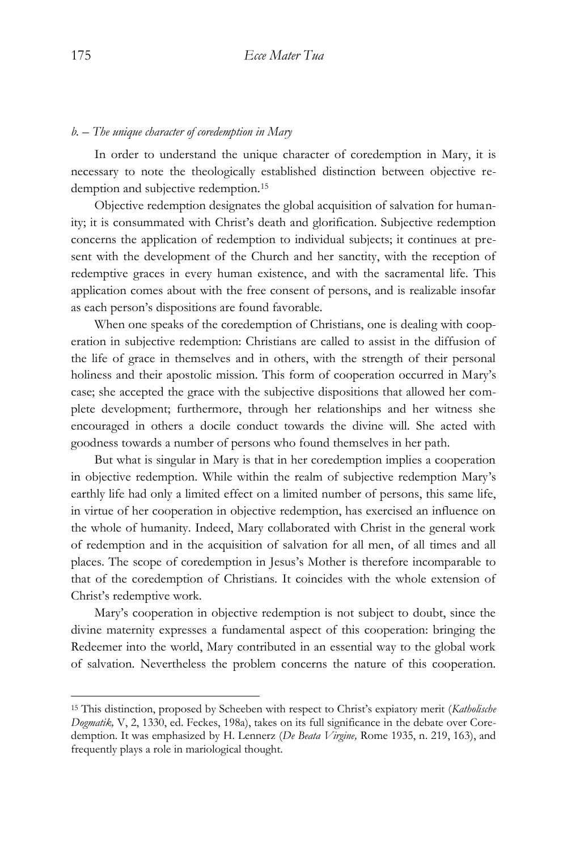## *b. – The unique character of coredemption in Mary*

In order to understand the unique character of coredemption in Mary, it is necessary to note the theologically established distinction between objective redemption and subjective redemption.<sup>15</sup>

Objective redemption designates the global acquisition of salvation for humanity; it is consummated with Christ's death and glorification. Subjective redemption concerns the application of redemption to individual subjects; it continues at present with the development of the Church and her sanctity, with the reception of redemptive graces in every human existence, and with the sacramental life. This application comes about with the free consent of persons, and is realizable insofar as each person's dispositions are found favorable.

When one speaks of the coredemption of Christians, one is dealing with cooperation in subjective redemption: Christians are called to assist in the diffusion of the life of grace in themselves and in others, with the strength of their personal holiness and their apostolic mission. This form of cooperation occurred in Mary's case; she accepted the grace with the subjective dispositions that allowed her complete development; furthermore, through her relationships and her witness she encouraged in others a docile conduct towards the divine will. She acted with goodness towards a number of persons who found themselves in her path.

But what is singular in Mary is that in her coredemption implies a cooperation in objective redemption. While within the realm of subjective redemption Mary's earthly life had only a limited effect on a limited number of persons, this same life, in virtue of her cooperation in objective redemption, has exercised an influence on the whole of humanity. Indeed, Mary collaborated with Christ in the general work of redemption and in the acquisition of salvation for all men, of all times and all places. The scope of coredemption in Jesus's Mother is therefore incomparable to that of the coredemption of Christians. It coincides with the whole extension of Christ's redemptive work.

Mary's cooperation in objective redemption is not subject to doubt, since the divine maternity expresses a fundamental aspect of this cooperation: bringing the Redeemer into the world, Mary contributed in an essential way to the global work of salvation. Nevertheless the problem concerns the nature of this cooperation.

<sup>15</sup> This distinction, proposed by Scheeben with respect to Christ's expiatory merit (*Katholische Dogmatik,* V, 2, 1330, ed. Feckes, 198a), takes on its full significance in the debate over Coredemption. It was emphasized by H. Lennerz (*De Beata Virgine,* Rome 1935, n. 219, 163), and frequently plays a role in mariological thought.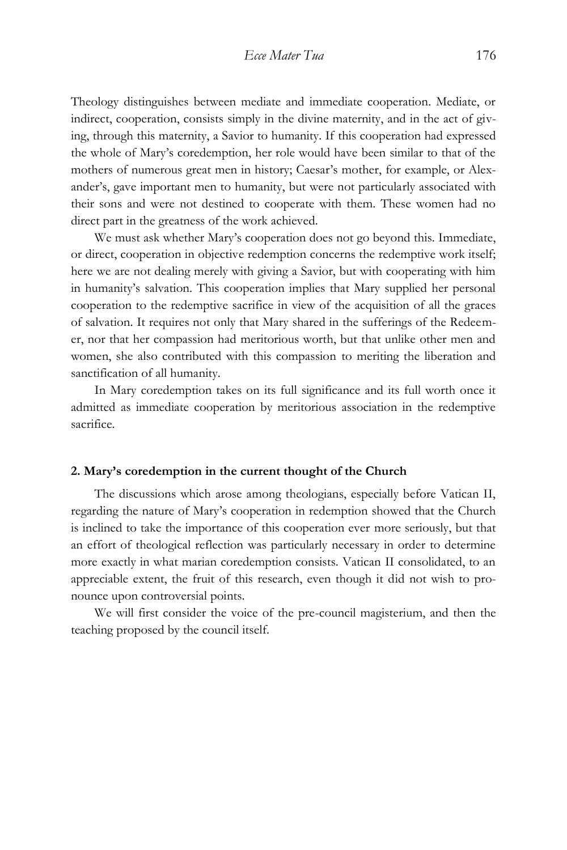Theology distinguishes between mediate and immediate cooperation. Mediate, or indirect, cooperation, consists simply in the divine maternity, and in the act of giving, through this maternity, a Savior to humanity. If this cooperation had expressed the whole of Mary's coredemption, her role would have been similar to that of the mothers of numerous great men in history; Caesar's mother, for example, or Alexander's, gave important men to humanity, but were not particularly associated with their sons and were not destined to cooperate with them. These women had no direct part in the greatness of the work achieved.

We must ask whether Mary's cooperation does not go beyond this. Immediate, or direct, cooperation in objective redemption concerns the redemptive work itself; here we are not dealing merely with giving a Savior, but with cooperating with him in humanity's salvation. This cooperation implies that Mary supplied her personal cooperation to the redemptive sacrifice in view of the acquisition of all the graces of salvation. It requires not only that Mary shared in the sufferings of the Redeemer, nor that her compassion had meritorious worth, but that unlike other men and women, she also contributed with this compassion to meriting the liberation and sanctification of all humanity.

In Mary coredemption takes on its full significance and its full worth once it admitted as immediate cooperation by meritorious association in the redemptive sacrifice.

#### **2. Mary's coredemption in the current thought of the Church**

The discussions which arose among theologians, especially before Vatican II, regarding the nature of Mary's cooperation in redemption showed that the Church is inclined to take the importance of this cooperation ever more seriously, but that an effort of theological reflection was particularly necessary in order to determine more exactly in what marian coredemption consists. Vatican II consolidated, to an appreciable extent, the fruit of this research, even though it did not wish to pronounce upon controversial points.

We will first consider the voice of the pre-council magisterium, and then the teaching proposed by the council itself.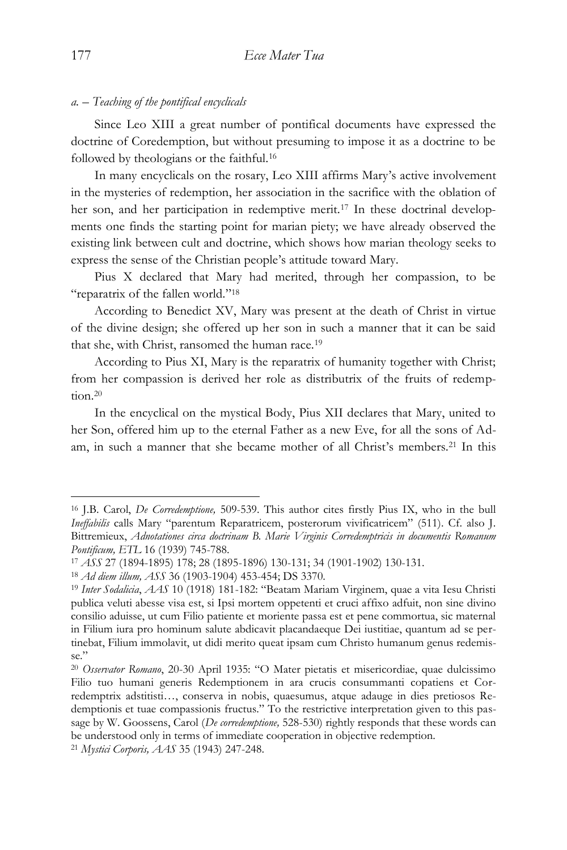## *a. – Teaching of the pontifical encyclicals*

Since Leo XIII a great number of pontifical documents have expressed the doctrine of Coredemption, but without presuming to impose it as a doctrine to be followed by theologians or the faithful.<sup>16</sup>

In many encyclicals on the rosary, Leo XIII affirms Mary's active involvement in the mysteries of redemption, her association in the sacrifice with the oblation of her son, and her participation in redemptive merit.<sup>17</sup> In these doctrinal developments one finds the starting point for marian piety; we have already observed the existing link between cult and doctrine, which shows how marian theology seeks to express the sense of the Christian people's attitude toward Mary.

Pius X declared that Mary had merited, through her compassion, to be "reparatrix of the fallen world."<sup>18</sup>

According to Benedict XV, Mary was present at the death of Christ in virtue of the divine design; she offered up her son in such a manner that it can be said that she, with Christ, ransomed the human race.<sup>19</sup>

According to Pius XI, Mary is the reparatrix of humanity together with Christ; from her compassion is derived her role as distributrix of the fruits of redemption.<sup>20</sup>

In the encyclical on the mystical Body, Pius XII declares that Mary, united to her Son, offered him up to the eternal Father as a new Eve, for all the sons of Adam, in such a manner that she became mother of all Christ's members.<sup>21</sup> In this

<sup>16</sup> J.B. Carol, *De Corredemptione,* 509-539. This author cites firstly Pius IX, who in the bull *Ineffabilis* calls Mary "parentum Reparatricem, posterorum vivificatricem" (511). Cf. also J. Bittremieux, *Adnotationes circa doctrinam B. Marie Virginis Corredemptricis in documentis Romanum Pontificum, ETL* 16 (1939) 745-788.

<sup>17</sup> *ASS* 27 (1894-1895) 178; 28 (1895-1896) 130-131; 34 (1901-1902) 130-131.

<sup>18</sup> *Ad diem illum, ASS* 36 (1903-1904) 453-454; DS 3370.

<sup>19</sup> *Inter Sodalicia*, *AAS* 10 (1918) 181-182: "Beatam Mariam Virginem, quae a vita Iesu Christi publica veluti abesse visa est, si Ipsi mortem oppetenti et cruci affixo adfuit, non sine divino consilio aduisse, ut cum Filio patiente et moriente passa est et pene commortua, sic maternal in Filium iura pro hominum salute abdicavit placandaeque Dei iustitiae, quantum ad se pertinebat, Filium immolavit, ut didi merito queat ipsam cum Christo humanum genus redemisse."

<sup>20</sup> *Osservator Romano*, 20-30 April 1935: "O Mater pietatis et misericordiae, quae dulcissimo Filio tuo humani generis Redemptionem in ara crucis consummanti copatiens et Corredemptrix adstitisti…, conserva in nobis, quaesumus, atque adauge in dies pretiosos Redemptionis et tuae compassionis fructus." To the restrictive interpretation given to this passage by W. Goossens, Carol (*De corredemptione*, 528-530) rightly responds that these words can be understood only in terms of immediate cooperation in objective redemption.

<sup>21</sup> *Mystici Corporis, AAS* 35 (1943) 247-248.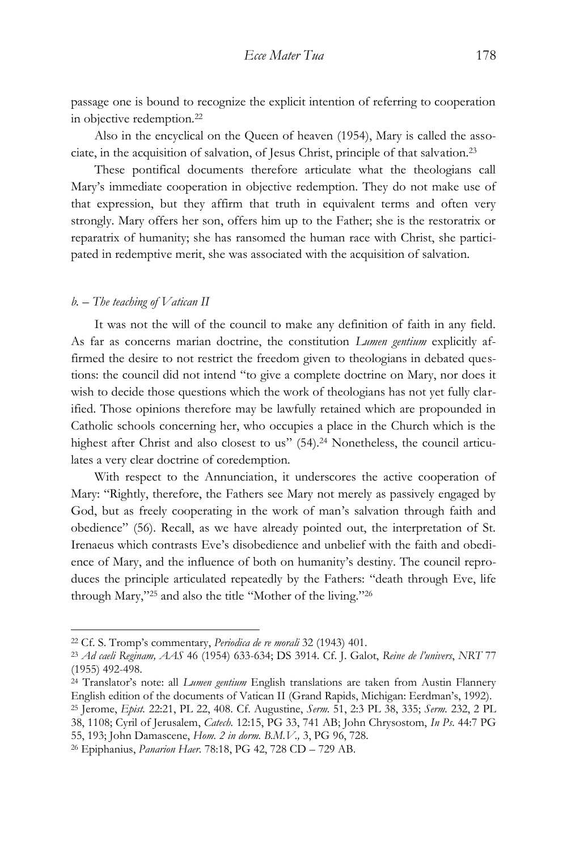passage one is bound to recognize the explicit intention of referring to cooperation in objective redemption.<sup>22</sup>

Also in the encyclical on the Queen of heaven (1954), Mary is called the associate, in the acquisition of salvation, of Jesus Christ, principle of that salvation.<sup>23</sup>

These pontifical documents therefore articulate what the theologians call Mary's immediate cooperation in objective redemption. They do not make use of that expression, but they affirm that truth in equivalent terms and often very strongly. Mary offers her son, offers him up to the Father; she is the restoratrix or reparatrix of humanity; she has ransomed the human race with Christ, she participated in redemptive merit, she was associated with the acquisition of salvation.

#### *b. – The teaching of Vatican II*

 $\overline{a}$ 

It was not the will of the council to make any definition of faith in any field. As far as concerns marian doctrine, the constitution *Lumen gentium* explicitly affirmed the desire to not restrict the freedom given to theologians in debated questions: the council did not intend "to give a complete doctrine on Mary, nor does it wish to decide those questions which the work of theologians has not yet fully clarified. Those opinions therefore may be lawfully retained which are propounded in Catholic schools concerning her, who occupies a place in the Church which is the highest after Christ and also closest to us" (54).<sup>24</sup> Nonetheless, the council articulates a very clear doctrine of coredemption.

With respect to the Annunciation, it underscores the active cooperation of Mary: "Rightly, therefore, the Fathers see Mary not merely as passively engaged by God, but as freely cooperating in the work of man's salvation through faith and obedience" (56). Recall, as we have already pointed out, the interpretation of St. Irenaeus which contrasts Eve's disobedience and unbelief with the faith and obedience of Mary, and the influence of both on humanity's destiny. The council reproduces the principle articulated repeatedly by the Fathers: "death through Eve, life through Mary," <sup>25</sup> and also the title "Mother of the living." 26

<sup>22</sup> Cf. S. Tromp's commentary, *Periodica de re morali* 32 (1943) 401.

<sup>23</sup> *Ad caeli Reginam, AAS* 46 (1954) 633-634; DS 3914. Cf. J. Galot, *Reine de l'univers*, *NRT* 77 (1955) 492-498.

<sup>24</sup> Translator's note: all *Lumen gentium* English translations are taken from Austin Flannery English edition of the documents of Vatican II (Grand Rapids, Michigan: Eerdman's, 1992).

<sup>25</sup> Jerome, *Epist.* 22:21, PL 22, 408. Cf. Augustine, *Serm.* 51, 2:3 PL 38, 335; *Serm.* 232, 2 PL 38, 1108; Cyril of Jerusalem, *Catech.* 12:15, PG 33, 741 AB; John Chrysostom, *In Ps.* 44:7 PG

<sup>55, 193;</sup> John Damascene, *Hom. 2 in dorm. B.M.V.,* 3, PG 96, 728.

<sup>26</sup> Epiphanius, *Panarion Haer.* 78:18, PG 42, 728 CD – 729 AB.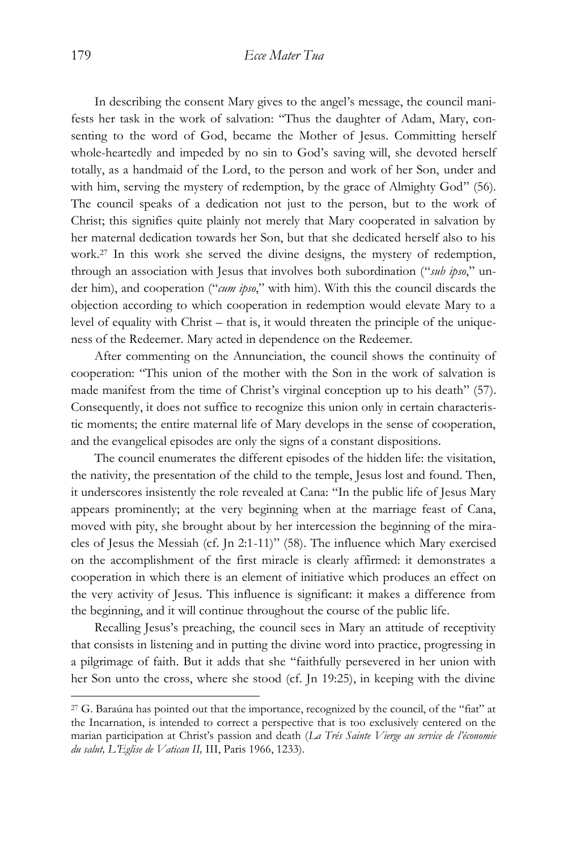In describing the consent Mary gives to the angel's message, the council manifests her task in the work of salvation: "Thus the daughter of Adam, Mary, consenting to the word of God, became the Mother of Jesus. Committing herself whole-heartedly and impeded by no sin to God's saving will, she devoted herself totally, as a handmaid of the Lord, to the person and work of her Son, under and with him, serving the mystery of redemption, by the grace of Almighty God" (56). The council speaks of a dedication not just to the person, but to the work of Christ; this signifies quite plainly not merely that Mary cooperated in salvation by her maternal dedication towards her Son, but that she dedicated herself also to his work.<sup>27</sup> In this work she served the divine designs, the mystery of redemption, through an association with Jesus that involves both subordination ("*sub ipso*," under him), and cooperation ("*cum ipso*," with him). With this the council discards the objection according to which cooperation in redemption would elevate Mary to a level of equality with Christ – that is, it would threaten the principle of the uniqueness of the Redeemer. Mary acted in dependence on the Redeemer.

After commenting on the Annunciation, the council shows the continuity of cooperation: "This union of the mother with the Son in the work of salvation is made manifest from the time of Christ's virginal conception up to his death" (57). Consequently, it does not suffice to recognize this union only in certain characteristic moments; the entire maternal life of Mary develops in the sense of cooperation, and the evangelical episodes are only the signs of a constant dispositions.

The council enumerates the different episodes of the hidden life: the visitation, the nativity, the presentation of the child to the temple, Jesus lost and found. Then, it underscores insistently the role revealed at Cana: "In the public life of Jesus Mary appears prominently; at the very beginning when at the marriage feast of Cana, moved with pity, she brought about by her intercession the beginning of the miracles of Jesus the Messiah (cf. Jn 2:1-11)" (58). The influence which Mary exercised on the accomplishment of the first miracle is clearly affirmed: it demonstrates a cooperation in which there is an element of initiative which produces an effect on the very activity of Jesus. This influence is significant: it makes a difference from the beginning, and it will continue throughout the course of the public life.

Recalling Jesus's preaching, the council sees in Mary an attitude of receptivity that consists in listening and in putting the divine word into practice, progressing in a pilgrimage of faith. But it adds that she "faithfully persevered in her union with her Son unto the cross, where she stood (cf. Jn 19:25), in keeping with the divine

<sup>27</sup> G. Baraúna has pointed out that the importance, recognized by the council, of the "fiat" at the Incarnation, is intended to correct a perspective that is too exclusively centered on the marian participation at Christ's passion and death (*La Trés Sainte Vierge au service de l'économie du salut, L'Eglise de Vatican II,* III, Paris 1966, 1233).